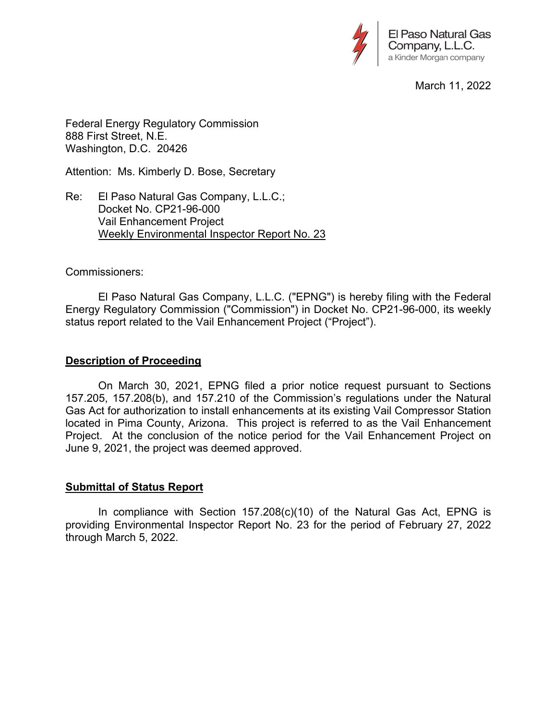

March 11, 2022

Federal Energy Regulatory Commission 888 First Street, N.E. Washington, D.C. 20426

Attention: Ms. Kimberly D. Bose, Secretary

Re: El Paso Natural Gas Company, L.L.C.; Docket No. CP21-96-000 Vail Enhancement Project Weekly Environmental Inspector Report No. 23

## Commissioners:

 El Paso Natural Gas Company, L.L.C. ("EPNG") is hereby filing with the Federal Energy Regulatory Commission ("Commission") in Docket No. CP21-96-000, its weekly status report related to the Vail Enhancement Project ("Project").

## **Description of Proceeding**

 On March 30, 2021, EPNG filed a prior notice request pursuant to Sections 157.205, 157.208(b), and 157.210 of the Commission's regulations under the Natural Gas Act for authorization to install enhancements at its existing Vail Compressor Station located in Pima County, Arizona. This project is referred to as the Vail Enhancement Project. At the conclusion of the notice period for the Vail Enhancement Project on June 9, 2021, the project was deemed approved.

## **Submittal of Status Report**

 In compliance with Section 157.208(c)(10) of the Natural Gas Act, EPNG is providing Environmental Inspector Report No. 23 for the period of February 27, 2022 through March 5, 2022.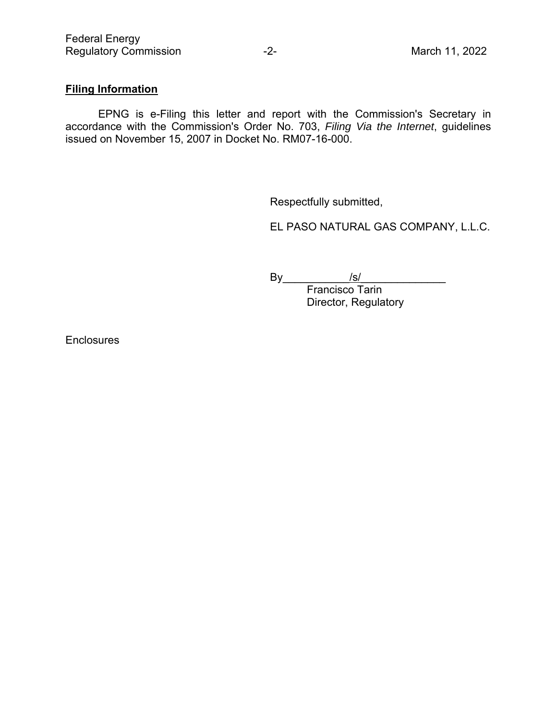# **Filing Information**

 EPNG is e-Filing this letter and report with the Commission's Secretary in accordance with the Commission's Order No. 703, *Filing Via the Internet*, guidelines issued on November 15, 2007 in Docket No. RM07-16-000.

Respectfully submitted,

EL PASO NATURAL GAS COMPANY, L.L.C.

By\_\_\_\_\_\_\_\_\_\_\_/s/\_\_\_\_\_\_\_\_\_\_\_\_\_\_

Francisco Tarin Director, Regulatory

**Enclosures**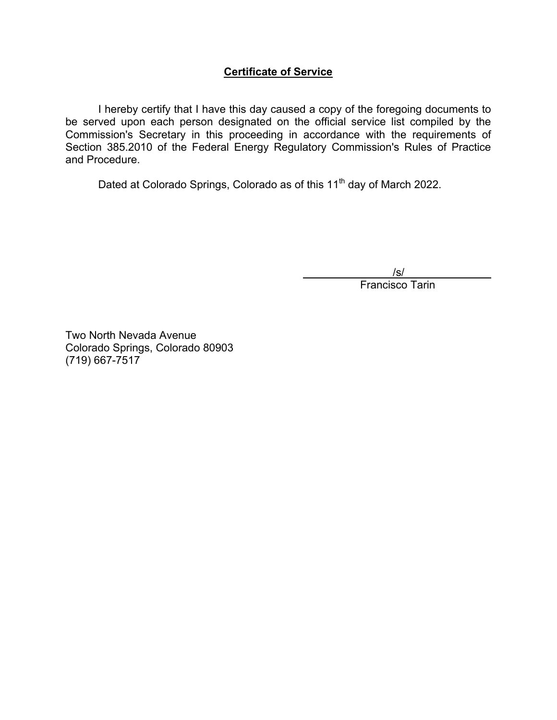## **Certificate of Service**

 I hereby certify that I have this day caused a copy of the foregoing documents to be served upon each person designated on the official service list compiled by the Commission's Secretary in this proceeding in accordance with the requirements of Section 385.2010 of the Federal Energy Regulatory Commission's Rules of Practice and Procedure.

Dated at Colorado Springs, Colorado as of this 11<sup>th</sup> day of March 2022.

/s/

Francisco Tarin

Two North Nevada Avenue Colorado Springs, Colorado 80903 (719) 667-7517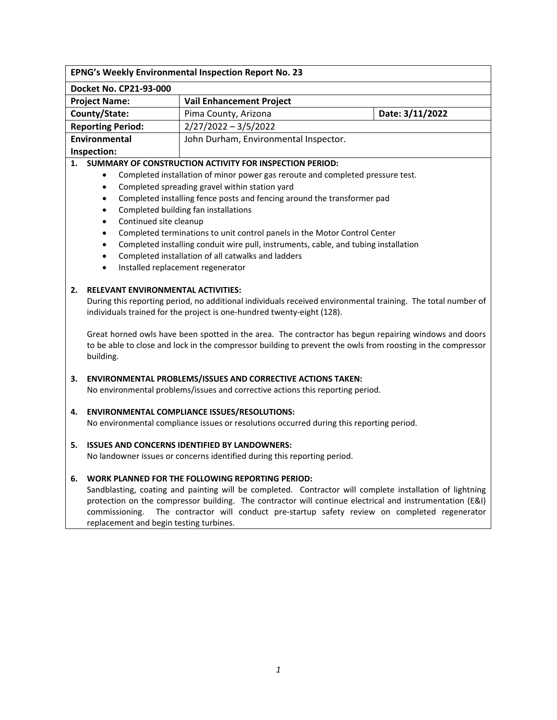| EPNG's Weekly Environmental Inspection Report No. 23                                                                                                                                                                              |                                                                                                          |                                                                                                                                                                                            |                 |  |
|-----------------------------------------------------------------------------------------------------------------------------------------------------------------------------------------------------------------------------------|----------------------------------------------------------------------------------------------------------|--------------------------------------------------------------------------------------------------------------------------------------------------------------------------------------------|-----------------|--|
| Docket No. CP21-93-000                                                                                                                                                                                                            |                                                                                                          |                                                                                                                                                                                            |                 |  |
| <b>Project Name:</b>                                                                                                                                                                                                              |                                                                                                          | <b>Vail Enhancement Project</b>                                                                                                                                                            |                 |  |
| County/State:                                                                                                                                                                                                                     |                                                                                                          | Pima County, Arizona                                                                                                                                                                       | Date: 3/11/2022 |  |
| <b>Reporting Period:</b>                                                                                                                                                                                                          |                                                                                                          | $2/27/2022 - 3/5/2022$                                                                                                                                                                     |                 |  |
| Environmental                                                                                                                                                                                                                     |                                                                                                          | John Durham, Environmental Inspector.                                                                                                                                                      |                 |  |
| Inspection:                                                                                                                                                                                                                       |                                                                                                          |                                                                                                                                                                                            |                 |  |
| SUMMARY OF CONSTRUCTION ACTIVITY FOR INSPECTION PERIOD:<br>1.                                                                                                                                                                     |                                                                                                          |                                                                                                                                                                                            |                 |  |
| Completed installation of minor power gas reroute and completed pressure test.<br>$\bullet$                                                                                                                                       |                                                                                                          |                                                                                                                                                                                            |                 |  |
| Completed spreading gravel within station yard<br>$\bullet$                                                                                                                                                                       |                                                                                                          |                                                                                                                                                                                            |                 |  |
| Completed installing fence posts and fencing around the transformer pad<br>$\bullet$<br>$\bullet$                                                                                                                                 |                                                                                                          |                                                                                                                                                                                            |                 |  |
|                                                                                                                                                                                                                                   | Completed building fan installations<br>Continued site cleanup<br>$\bullet$                              |                                                                                                                                                                                            |                 |  |
|                                                                                                                                                                                                                                   | Completed terminations to unit control panels in the Motor Control Center<br>$\bullet$                   |                                                                                                                                                                                            |                 |  |
|                                                                                                                                                                                                                                   | Completed installing conduit wire pull, instruments, cable, and tubing installation<br>$\bullet$         |                                                                                                                                                                                            |                 |  |
| Completed installation of all catwalks and ladders<br>$\bullet$                                                                                                                                                                   |                                                                                                          |                                                                                                                                                                                            |                 |  |
|                                                                                                                                                                                                                                   | Installed replacement regenerator<br>$\bullet$                                                           |                                                                                                                                                                                            |                 |  |
|                                                                                                                                                                                                                                   |                                                                                                          |                                                                                                                                                                                            |                 |  |
| <b>RELEVANT ENVIRONMENTAL ACTIVITIES:</b><br>2.                                                                                                                                                                                   |                                                                                                          |                                                                                                                                                                                            |                 |  |
| During this reporting period, no additional individuals received environmental training. The total number of<br>individuals trained for the project is one-hundred twenty-eight (128).                                            |                                                                                                          |                                                                                                                                                                                            |                 |  |
| Great horned owls have been spotted in the area. The contractor has begun repairing windows and doors<br>to be able to close and lock in the compressor building to prevent the owls from roosting in the compressor<br>building. |                                                                                                          |                                                                                                                                                                                            |                 |  |
| ENVIRONMENTAL PROBLEMS/ISSUES AND CORRECTIVE ACTIONS TAKEN:<br>3.                                                                                                                                                                 |                                                                                                          |                                                                                                                                                                                            |                 |  |
| No environmental problems/issues and corrective actions this reporting period.                                                                                                                                                    |                                                                                                          |                                                                                                                                                                                            |                 |  |
|                                                                                                                                                                                                                                   |                                                                                                          |                                                                                                                                                                                            |                 |  |
| <b>ENVIRONMENTAL COMPLIANCE ISSUES/RESOLUTIONS:</b><br>4.                                                                                                                                                                         |                                                                                                          |                                                                                                                                                                                            |                 |  |
|                                                                                                                                                                                                                                   |                                                                                                          | No environmental compliance issues or resolutions occurred during this reporting period.                                                                                                   |                 |  |
| 5.                                                                                                                                                                                                                                | <b>ISSUES AND CONCERNS IDENTIFIED BY LANDOWNERS:</b>                                                     |                                                                                                                                                                                            |                 |  |
|                                                                                                                                                                                                                                   | No landowner issues or concerns identified during this reporting period.                                 |                                                                                                                                                                                            |                 |  |
| 6.                                                                                                                                                                                                                                |                                                                                                          | WORK PLANNED FOR THE FOLLOWING REPORTING PERIOD:                                                                                                                                           |                 |  |
|                                                                                                                                                                                                                                   | Sandblasting, coating and painting will be completed. Contractor will complete installation of lightning |                                                                                                                                                                                            |                 |  |
|                                                                                                                                                                                                                                   | commissioning.<br>replacement and begin testing turbines.                                                | protection on the compressor building. The contractor will continue electrical and instrumentation (E&I)<br>The contractor will conduct pre-startup safety review on completed regenerator |                 |  |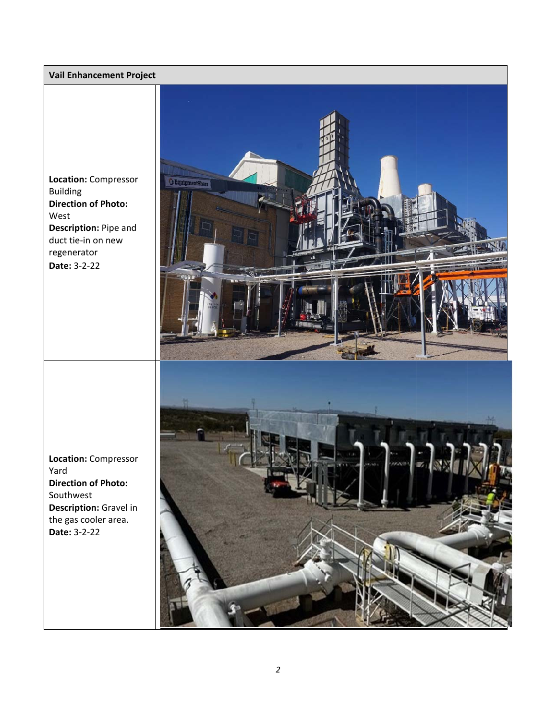#### **V Vail Enhancem ment Project**

**Location: Compressor** B Building **Direction of Photo:** W West **Description: Pipe and** d duct tie‐in on new r regenerator **D Date:** 3‐2‐22



**Location: Compressor** Y Yard **Direction of Photo:** S Southwest **Description:** Gravel in the gas cooler area. **D Date:** 3‐2‐22